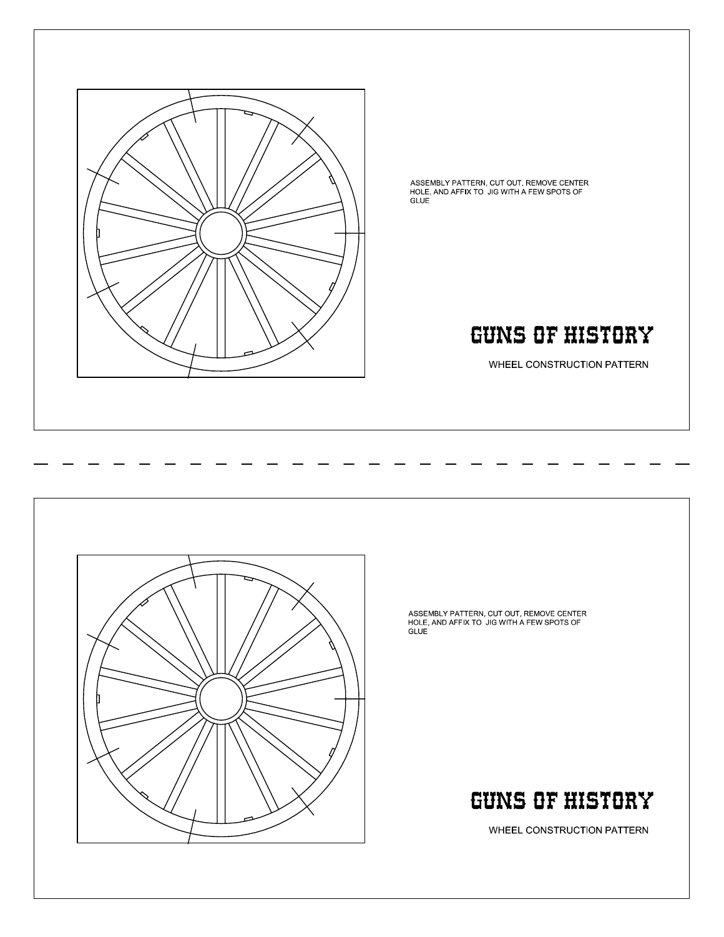

ASSEMBLY PATTERN, CUT OUT, REMOVE CENTER<br>HOLE, AND AFFIX TO JIG WITH A FEW SPOTS OF **GLUE** 

# **GUNS OF HISTORY**

WHEEL CONSTRUCTION PATTERN



ASSEMBLY PATTERN, CUT OUT, REMOVE CENTER<br>HOLE, AND AFFIX TO JIG WITH A FEW SPOTS OF GLUE<sup>1</sup>

# **GUNS OF HISTORY**

WHEEL CONSTRUCTION PATTERN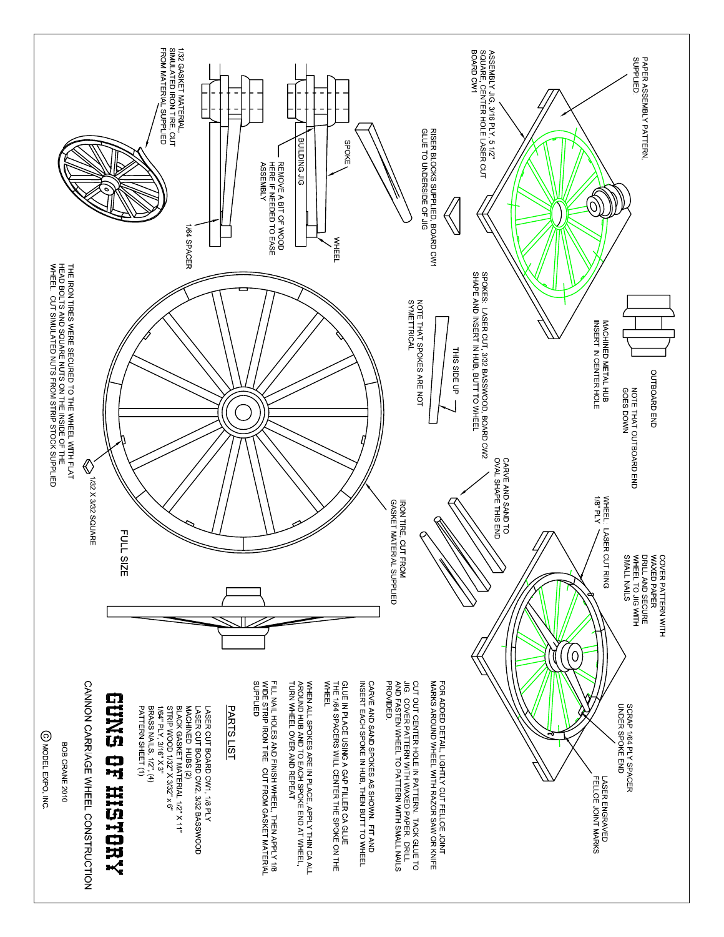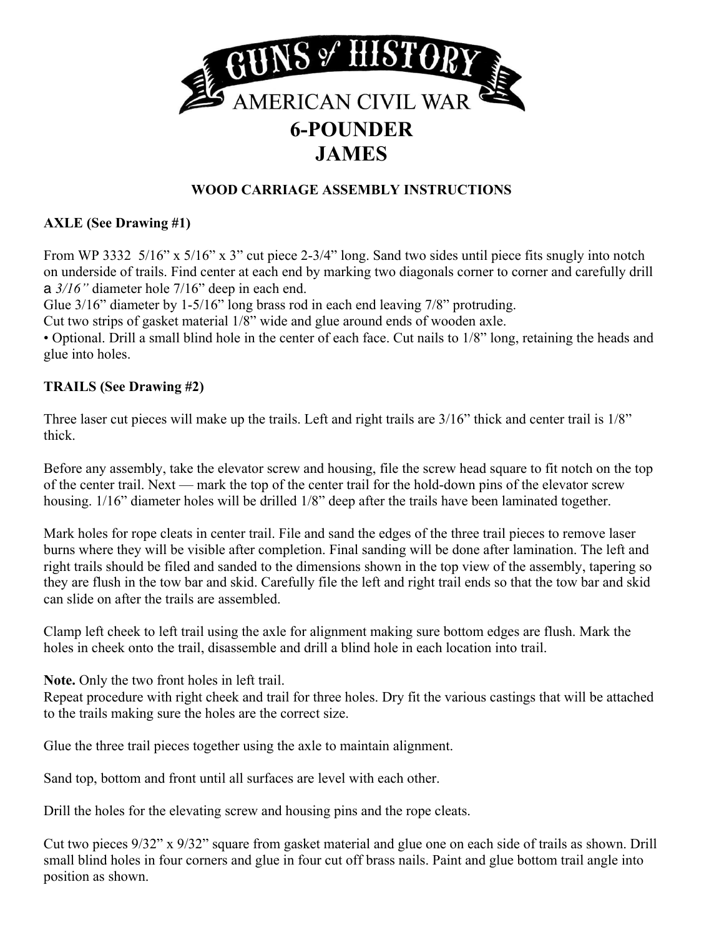

#### **WOOD CARRIAGE ASSEMBLY INSTRUCTIONS**

#### **AXLE (See Drawing #1)**

From WP 3332 5/16" x 5/16" x 3" cut piece 2-3/4" long. Sand two sides until piece fits snugly into notch on underside of trails. Find center at each end by marking two diagonals corner to corner and carefully drill a *3/16"* diameter hole 7/16" deep in each end.

Glue 3/16" diameter by 1-5/16" long brass rod in each end leaving 7/8" protruding.

Cut two strips of gasket material 1/8" wide and glue around ends of wooden axle.

• Optional. Drill a small blind hole in the center of each face. Cut nails to 1/8" long, retaining the heads and glue into holes.

#### **TRAILS (See Drawing #2)**

Three laser cut pieces will make up the trails. Left and right trails are 3/16" thick and center trail is  $1/8$ " thick.

Before any assembly, take the elevator screw and housing, file the screw head square to fit notch on the top of the center trail. Next — mark the top of the center trail for the hold-down pins of the elevator screw housing. 1/16" diameter holes will be drilled 1/8" deep after the trails have been laminated together.

Mark holes for rope cleats in center trail. File and sand the edges of the three trail pieces to remove laser burns where they will be visible after completion. Final sanding will be done after lamination. The left and right trails should be filed and sanded to the dimensions shown in the top view of the assembly, tapering so they are flush in the tow bar and skid. Carefully file the left and right trail ends so that the tow bar and skid can slide on after the trails are assembled.

Clamp left cheek to left trail using the axle for alignment making sure bottom edges are flush. Mark the holes in cheek onto the trail, disassemble and drill a blind hole in each location into trail.

**Note.** Only the two front holes in left trail.

Repeat procedure with right cheek and trail for three holes. Dry fit the various castings that will be attached to the trails making sure the holes are the correct size.

Glue the three trail pieces together using the axle to maintain alignment.

Sand top, bottom and front until all surfaces are level with each other.

Drill the holes for the elevating screw and housing pins and the rope cleats.

Cut two pieces 9/32" x 9/32" square from gasket material and glue one on each side of trails as shown. Drill small blind holes in four corners and glue in four cut off brass nails. Paint and glue bottom trail angle into position as shown.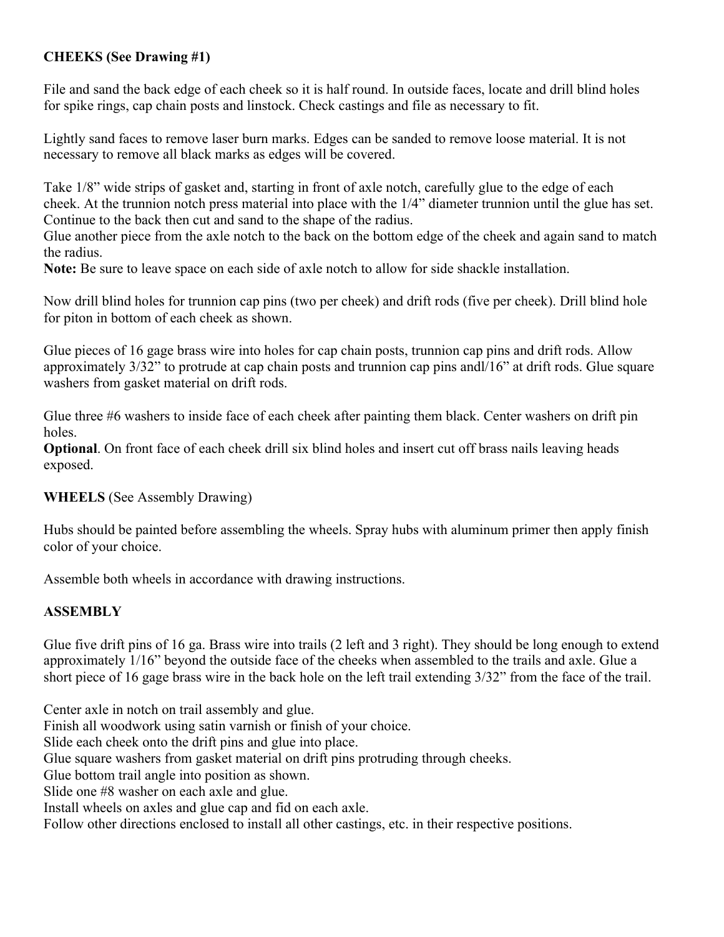#### **CHEEKS (See Drawing #1)**

File and sand the back edge of each cheek so it is half round. In outside faces, locate and drill blind holes for spike rings, cap chain posts and linstock. Check castings and file as necessary to fit.

 Lightly sand faces to remove laser burn marks. Edges can be sanded to remove loose material. It is not necessary to remove all black marks as edges will be covered.

Take 1/8" wide strips of gasket and, starting in front of axle notch, carefully glue to the edge of each cheek. At the trunnion notch press material into place with the 1/4" diameter trunnion until the glue has set. Continue to the back then cut and sand to the shape of the radius.

Glue another piece from the axle notch to the back on the bottom edge of the cheek and again sand to match the radius.

**Note:** Be sure to leave space on each side of axle notch to allow for side shackle installation.

Now drill blind holes for trunnion cap pins (two per cheek) and drift rods (five per cheek). Drill blind hole for piton in bottom of each cheek as shown.

Glue pieces of 16 gage brass wire into holes for cap chain posts, trunnion cap pins and drift rods. Allow approximately 3/32" to protrude at cap chain posts and trunnion cap pins andl/16" at drift rods. Glue square washers from gasket material on drift rods.

Glue three #6 washers to inside face of each cheek after painting them black. Center washers on drift pin holes.

**Optional**. On front face of each cheek drill six blind holes and insert cut off brass nails leaving heads exposed.

#### **WHEELS** (See Assembly Drawing)

Hubs should be painted before assembling the wheels. Spray hubs with aluminum primer then apply finish color of your choice.

Assemble both wheels in accordance with drawing instructions.

#### **ASSEMBLY**

Glue five drift pins of 16 ga. Brass wire into trails (2 left and 3 right). They should be long enough to extend approximately 1/16" beyond the outside face of the cheeks when assembled to the trails and axle. Glue a short piece of 16 gage brass wire in the back hole on the left trail extending 3/32" from the face of the trail.

Center axle in notch on trail assembly and glue. Finish all woodwork using satin varnish or finish of your choice. Slide each cheek onto the drift pins and glue into place. Glue square washers from gasket material on drift pins protruding through cheeks. Glue bottom trail angle into position as shown. Slide one #8 washer on each axle and glue. Install wheels on axles and glue cap and fid on each axle. Follow other directions enclosed to install all other castings, etc. in their respective positions.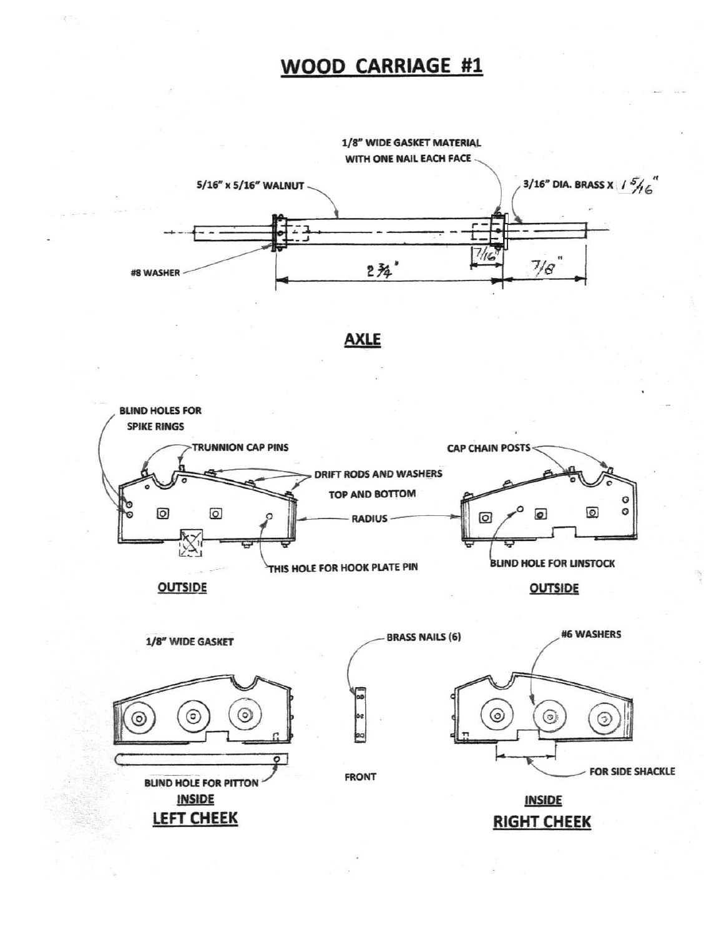### WOOD CARRIAGE #1







**FRONT** 

**INSIDE** 

**RIGHT CHEEK** 

**BLIND HOLE FOR PITTON INSIDE** 

**LEFT CHEEK**